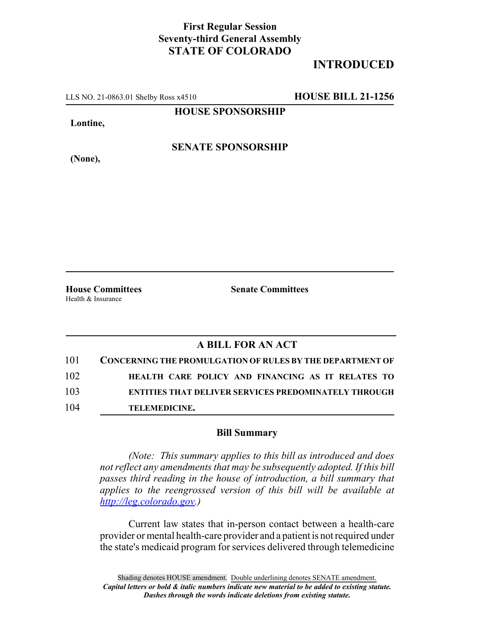## **First Regular Session Seventy-third General Assembly STATE OF COLORADO**

## **INTRODUCED**

LLS NO. 21-0863.01 Shelby Ross x4510 **HOUSE BILL 21-1256**

**HOUSE SPONSORSHIP**

**Lontine,**

**(None),**

**SENATE SPONSORSHIP**

**House Committees Senate Committees** Health & Insurance

## **A BILL FOR AN ACT**

| 101 | CONCERNING THE PROMULGATION OF RULES BY THE DEPARTMENT OF   |
|-----|-------------------------------------------------------------|
| 102 | HEALTH CARE POLICY AND FINANCING AS IT RELATES TO           |
| 103 | <b>ENTITIES THAT DELIVER SERVICES PREDOMINATELY THROUGH</b> |
| 104 | <b>TELEMEDICINE.</b>                                        |

## **Bill Summary**

*(Note: This summary applies to this bill as introduced and does not reflect any amendments that may be subsequently adopted. If this bill passes third reading in the house of introduction, a bill summary that applies to the reengrossed version of this bill will be available at http://leg.colorado.gov.)*

Current law states that in-person contact between a health-care provider or mental health-care provider and a patient is not required under the state's medicaid program for services delivered through telemedicine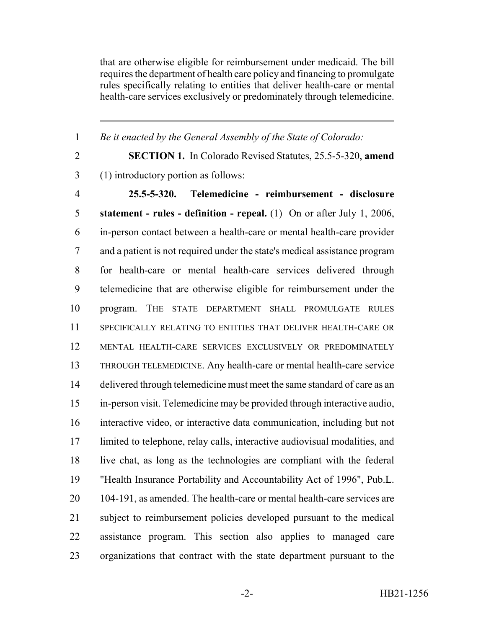that are otherwise eligible for reimbursement under medicaid. The bill requires the department of health care policy and financing to promulgate rules specifically relating to entities that deliver health-care or mental health-care services exclusively or predominately through telemedicine.

*Be it enacted by the General Assembly of the State of Colorado:*

 **SECTION 1.** In Colorado Revised Statutes, 25.5-5-320, **amend** (1) introductory portion as follows: **25.5-5-320. Telemedicine - reimbursement - disclosure statement - rules - definition - repeal.** (1) On or after July 1, 2006, in-person contact between a health-care or mental health-care provider and a patient is not required under the state's medical assistance program for health-care or mental health-care services delivered through telemedicine that are otherwise eligible for reimbursement under the program. THE STATE DEPARTMENT SHALL PROMULGATE RULES SPECIFICALLY RELATING TO ENTITIES THAT DELIVER HEALTH-CARE OR MENTAL HEALTH-CARE SERVICES EXCLUSIVELY OR PREDOMINATELY THROUGH TELEMEDICINE. Any health-care or mental health-care service 14 delivered through telemedicine must meet the same standard of care as an in-person visit. Telemedicine may be provided through interactive audio, interactive video, or interactive data communication, including but not limited to telephone, relay calls, interactive audiovisual modalities, and live chat, as long as the technologies are compliant with the federal "Health Insurance Portability and Accountability Act of 1996", Pub.L. 104-191, as amended. The health-care or mental health-care services are subject to reimbursement policies developed pursuant to the medical assistance program. This section also applies to managed care organizations that contract with the state department pursuant to the